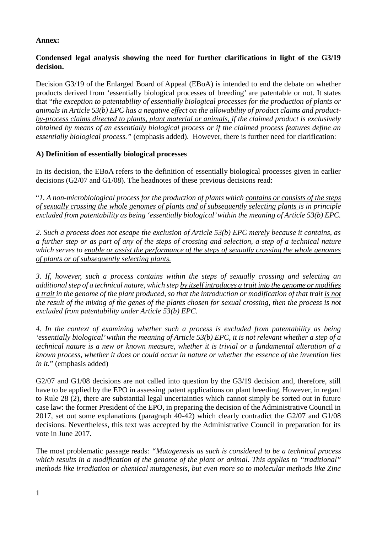# **Annex:**

# **Condensed legal analysis showing the need for further clarifications in light of the G3/19 decision.**

Decision G3/19 of the Enlarged Board of Appeal (EBoA) is intended to end the debate on whether products derived from 'essentially biological processes of breeding' are patentable or not. It states that "*the exception to patentability of essentially biological processes for the production of plants or animals in Article 53(b) EPC has a negative effect on the allowability of product claims and productby-process claims directed to plants, plant material or animals, if the claimed product is exclusively obtained by means of an essentially biological process or if the claimed process features define an essentially biological process."* (emphasis added). However, there is further need for clarification:

# **A) Definition of essentially biological processes**

In its decision, the EBoA refers to the definition of essentially biological processes given in earlier decisions (G2/07 and G1/08). The headnotes of these previous decisions read:

"*1. A non-microbiological process for the production of plants which contains or consists of the steps of sexually crossing the whole genomes of plants and of subsequently selecting plants is in principle excluded from patentability as being 'essentially biological' within the meaning of Article 53(b) EPC.*

*2. Such a process does not escape the exclusion of Article 53(b) EPC merely because it contains, as a further step or as part of any of the steps of crossing and selection, a step of a technical nature which serves to enable or assist the performance of the steps of sexually crossing the whole genomes of plants or of subsequently selecting plants.*

*3. If, however, such a process contains within the steps of sexually crossing and selecting an additional step of a technical nature, which step by itself introduces a trait into the genome or modifies a trait in the genome of the plant produced, so that the introduction or modification of that trait is not the result of the mixing of the genes of the plants chosen for sexual crossing, then the process is not excluded from patentability under Article 53(b) EPC.*

*4. In the context of examining whether such a process is excluded from patentability as being 'essentially biological' within the meaning of Article 53(b) EPC, it is not relevant whether a step of a technical nature is a new or known measure, whether it is trivial or a fundamental alteration of a known process, whether it does or could occur in nature or whether the essence of the invention lies in it.*" (emphasis added)

G2/07 and G1/08 decisions are not called into question by the G3/19 decision and, therefore, still have to be applied by the EPO in assessing patent applications on plant breeding. However, in regard to Rule 28 (2), there are substantial legal uncertainties which cannot simply be sorted out in future case law: the former President of the EPO, in preparing the decision of the Administrative Council in 2017, set out some explanations (paragraph 40-42) which clearly contradict the G2/07 and G1/08 decisions. Nevertheless, this text was accepted by the Administrative Council in preparation for its vote in June 2017.

The most problematic passage reads: *"Mutagenesis as such is considered to be a technical process which results in a modification of the genome of the plant or animal. This applies to "traditional" methods like irradiation or chemical mutagenesis, but even more so to molecular methods like Zinc*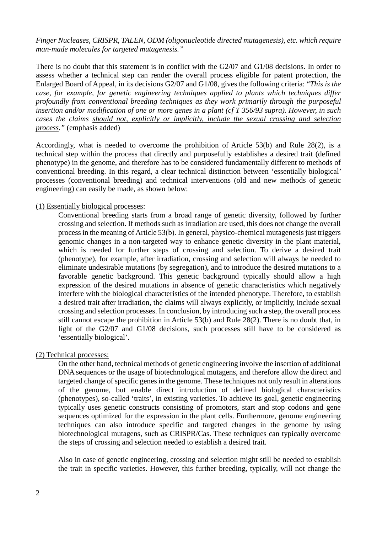*Finger Nucleases, CRISPR, TALEN, ODM (oligonucleotide directed mutagenesis), etc. which require man-made molecules for targeted mutagenesis."* 

There is no doubt that this statement is in conflict with the G2/07 and G1/08 decisions. In order to assess whether a technical step can render the overall process eligible for patent protection, the Enlarged Board of Appeal, in its decisions G2/07 and G1/08, gives the following criteria: "*This is the case, for example, for genetic engineering techniques applied to plants which techniques differ profoundly from conventional breeding techniques as they work primarily through the purposeful insertion and/or modification of one or more genes in a plant (cf T 356/93 supra). However, in such cases the claims should not, explicitly or implicitly, include the sexual crossing and selection process."* (emphasis added)

Accordingly, what is needed to overcome the prohibition of Article 53(b) and Rule 28(2), is a technical step within the process that directly and purposefully establishes a desired trait (defined phenotype) in the genome, and therefore has to be considered fundamentally different to methods of conventional breeding. In this regard, a clear technical distinction between 'essentially biological' processes (conventional breeding) and technical interventions (old and new methods of genetic engineering) can easily be made, as shown below:

#### (1) Essentially biological processes:

Conventional breeding starts from a broad range of genetic diversity, followed by further crossing and selection. If methods such as irradiation are used, this does not change the overall process in the meaning of Article 53(b). In general, physico-chemical mutagenesis just triggers genomic changes in a non-targeted way to enhance genetic diversity in the plant material, which is needed for further steps of crossing and selection. To derive a desired trait (phenotype), for example, after irradiation, crossing and selection will always be needed to eliminate undesirable mutations (by segregation), and to introduce the desired mutations to a favorable genetic background. This genetic background typically should allow a high expression of the desired mutations in absence of genetic characteristics which negatively interfere with the biological characteristics of the intended phenotype. Therefore, to establish a desired trait after irradiation, the claims will always explicitly, or implicitly, include sexual crossing and selection processes. In conclusion, by introducing such a step, the overall process still cannot escape the prohibition in Article 53(b) and Rule 28(2). There is no doubt that, in light of the G2/07 and G1/08 decisions, such processes still have to be considered as 'essentially biological'.

#### (2) Technical processes:

On the other hand, technical methods of genetic engineering involve the insertion of additional DNA sequences or the usage of biotechnological mutagens, and therefore allow the direct and targeted change of specific genes in the genome. These techniques not only result in alterations of the genome, but enable direct introduction of defined biological characteristics (phenotypes), so-called 'traits', in existing varieties. To achieve its goal, genetic engineering typically uses genetic constructs consisting of promotors, start and stop codons and gene sequences optimized for the expression in the plant cells. Furthermore, genome engineering techniques can also introduce specific and targeted changes in the genome by using biotechnological mutagens, such as CRISPR/Cas. These techniques can typically overcome the steps of crossing and selection needed to establish a desired trait.

Also in case of genetic engineering, crossing and selection might still be needed to establish the trait in specific varieties. However, this further breeding, typically, will not change the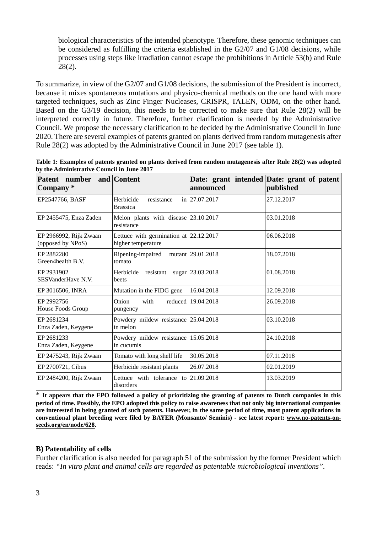biological characteristics of the intended phenotype. Therefore, these genomic techniques can be considered as fulfilling the criteria established in the G2/07 and G1/08 decisions, while processes using steps like irradiation cannot escape the prohibitions in Article 53(b) and Rule 28(2).

To summarize, in view of the G2/07 and G1/08 decisions, the submission of the President is incorrect, because it mixes spontaneous mutations and physico-chemical methods on the one hand with more targeted techniques, such as Zinc Finger Nucleases, CRISPR, TALEN, ODM, on the other hand. Based on the G3/19 decision, this needs to be corrected to make sure that Rule 28(2) will be interpreted correctly in future. Therefore, further clarification is needed by the Administrative Council. We propose the necessary clarification to be decided by the Administrative Council in June 2020. There are several examples of patents granted on plants derived from random mutagenesis after Rule 28(2) was adopted by the Administrative Council in June 2017 (see table 1).

| Patent number and Content<br>Company*       |                                                                 | announced            | Date: grant intended Date: grant of patent<br>published |
|---------------------------------------------|-----------------------------------------------------------------|----------------------|---------------------------------------------------------|
| EP2547766, BASF                             | in 27.07.2017<br>Herbicide<br>resistance<br><b>Brassica</b>     |                      | 27.12.2017                                              |
| EP 2455475, Enza Zaden                      | Melon plants with disease 23.10.2017<br>resistance              |                      | 03.01.2018                                              |
| EP 2966992, Rijk Zwaan<br>(opposed by NPoS) | Lettuce with germination at $ 22.12.2017$<br>higher temperature |                      | 06.06.2018                                              |
| EP 2882280<br>Green4health B.V.             | mutant 29.01.2018<br>Ripening-impaired<br>tomato                |                      | 18.07.2018                                              |
| EP 2931902<br>SESVanderHave N.V.            | Herbicide resistant<br>beets                                    | sugar 23.03.2018     | 01.08.2018                                              |
| EP 3016506, INRA                            | Mutation in the FIDG gene                                       | 16.04.2018           | 12.09.2018                                              |
| EP 2992756<br>House Foods Group             | Onion<br>with<br>pungency                                       | reduced   19.04.2018 | 26.09.2018                                              |
| EP 2681234<br>Enza Zaden, Keygene           | Powdery mildew resistance 25.04.2018<br>in melon                |                      | 03.10.2018                                              |
| EP 2681233<br>Enza Zaden, Keygene           | Powdery mildew resistance 15.05.2018<br>in cucumis              |                      | 24.10.2018                                              |
| EP 2475243, Rijk Zwaan                      | Tomato with long shelf life                                     | 30.05.2018           | 07.11.2018                                              |
| EP 2700721, Cibus                           | Herbicide resistant plants                                      | 26.07.2018           | 02.01.2019                                              |
| EP 2484200, Rijk Zwaan                      | Lettuce with tolerance to<br>disorders                          | 21.09.2018           | 13.03.2019                                              |

**Table 1: Examples of patents granted on plants derived from random mutagenesis after Rule 28(2) was adopted by the Administrative Council in June 2017** 

It appears that the EPO followed a policy of prioritizing the granting of patents to Dutch companies in this **period of time. Possibly, the EPO adopted this policy to raise awareness that not only big international companies are interested in being granted of such patents. However, in the same period of time, most patent applications in conventional plant breeding were filed by BAYER (Monsanto/ Seminis) - see latest report: [www.no-patents-on](http://www.no-patents-on-seeds.org/en/node/628)[seeds.org/en/node/628.](http://www.no-patents-on-seeds.org/en/node/628)**

### **B) Patentability of cells**

Further clarification is also needed for paragraph 51 of the submission by the former President which reads: *"In vitro plant and animal cells are regarded as patentable microbiological inventions".*